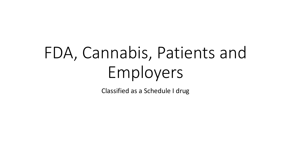# FDA, Cannabis, Patients and Employers

Classified as a Schedule I drug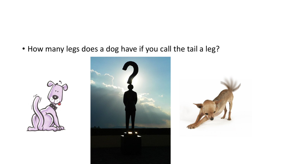• How many legs does a dog have if you call the tail a leg?





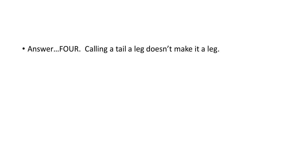• Answer…FOUR. Calling a tail a leg doesn't make it a leg.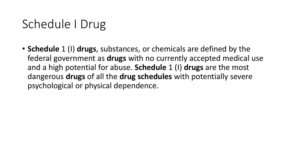## Schedule I Drug

• **Schedule** 1 (I) **drugs**, substances, or chemicals are defined by the federal government as **drugs** with no currently accepted medical use and a high potential for abuse. **Schedule** 1 (I) **drugs** are the most dangerous **drugs** of all the **drug schedules** with potentially severe psychological or physical dependence.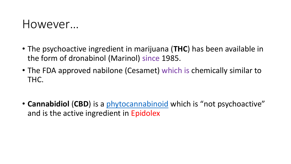#### However…

- The psychoactive ingredient in marijuana (**THC**) has been available in the form of dronabinol (Marinol) since 1985.
- The FDA approved nabilone (Cesamet) which is chemically similar to THC.
- **Cannabidiol** (**CBD**) is a [phytocannabinoid](https://en.wikipedia.org/wiki/Phytocannabinoid) which is "not psychoactive" and is the active ingredient in Epidolex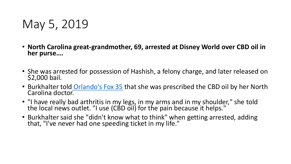#### May 5, 2019

- **North Carolina great-grandmother, 69, arrested at Disney World over CBD oil in her purse….**
- She was arrested for possession of Hashish, a felony charge, and later released on \$2,000 bail.
- Burkhalter told Orlando's Fox 35 that she was prescribed the CBD oil by her North<br>Carolina docto[r.](https://www.youtube.com/watch?v=vM9rOtWibMg)
- "I have really bad arthritis in my legs, in my arms and in my shoulder," she told the local news outlet. "I use (CBD oil) for the pain because it helps."
- Burkhalter said she "didn't know what to think" when getting arrested, adding that, "I've never had one speeding ticket in my life."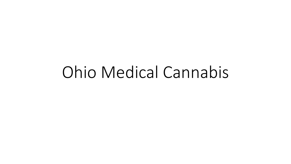# Ohio Medical Cannabis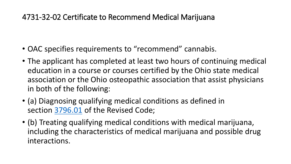#### 4731-32-02 Certificate to Recommend Medical Marijuana

- OAC specifies requirements to "recommend" cannabis.
- The applicant has completed at least two hours of continuing medical education in a course or courses certified by the Ohio state medical association or the Ohio osteopathic association that assist physicians in both of the following:
- (a) Diagnosing qualifying medical conditions as defined in section [3796.01](http://codes.ohio.gov/orc/3796.01) of the Revised Code;
- (b) Treating qualifying medical conditions with medical marijuana, including the characteristics of medical marijuana and possible drug interactions.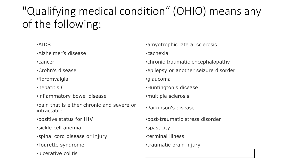#### "Qualifying medical condition" (OHIO) means any of the following:

•Alzheimer's disease •cachexia

•fibromyalgia •glaucoma

•inflammatory bowel disease •multiple sclerosis

•pain that is either chronic and severe or pain that is either chronic and severe or **parkinson's disease**<br>intractable

•sickle cell anemia **•**spasticity

•spinal cord disease or injury •terminal illness

•ulcerative colitis

•AIDS •amyotrophic lateral sclerosis •cancer •chronic traumatic encephalopathy •Crohn's disease • **•**epilepsy or another seizure disorder •hepatitis C •Huntington's disease •positive status for HIV •post-traumatic stress disorder •Tourette syndrome •traumatic brain injury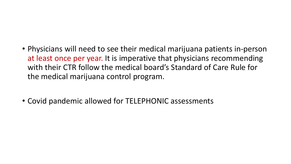- Physicians will need to see their medical marijuana patients in-person at least once per year. It is imperative that physicians recommending with their CTR follow the medical board's Standard of Care Rule for the medical marijuana control program.
- Covid pandemic allowed for TELEPHONIC assessments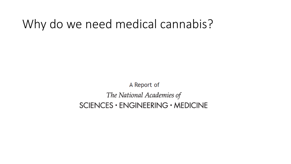#### Why do we need medical cannabis?

A Report of The National Academies of  $SCIENCES · ENGINEERING · MEDICINE$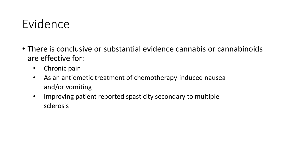- There is conclusive or substantial evidence cannabis or cannabinoids are effective for:
	- Chronic pain
	- As an antiemetic treatment of chemotherapy-induced nausea and/or vomiting
	- Improving patient reported spasticity secondary to multiple sclerosis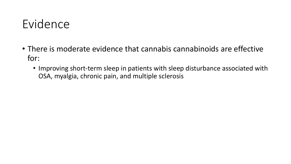- There is moderate evidence that cannabis cannabinoids are effective for:
	- Improving short-term sleep in patients with sleep disturbance associated with OSA, myalgia, chronic pain, and multiple sclerosis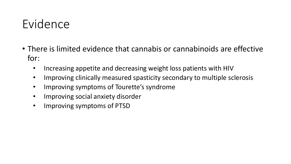- There is limited evidence that cannabis or cannabinoids are effective for:
	- Increasing appetite and decreasing weight loss patients with HIV
	- Improving clinically measured spasticity secondary to multiple sclerosis
	- Improving symptoms of Tourette's syndrome
	- Improving social anxiety disorder
	- Improving symptoms of PTSD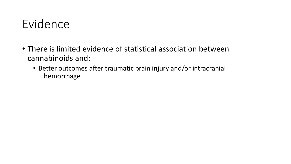- There is limited evidence of statistical association between cannabinoids and:
	- Better outcomes after traumatic brain injury and/or intracranial hemorrhage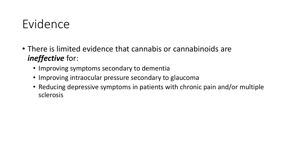- There is limited evidence that cannabis or cannabinoids are *ineffective* for:
	- Improving symptoms secondary to dementia
	- Improving intraocular pressure secondary to glaucoma
	- Reducing depressive symptoms in patients with chronic pain and/or multiple sclerosis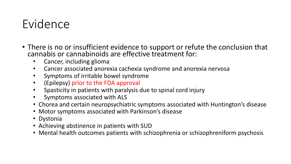- There is no or insufficient evidence to support or refute the conclusion that cannabis or cannabinoids are effective treatment for:
	- Cancer, including glioma
	- Cancer associated anorexia cachexia syndrome and anorexia nervosa
	- Symptoms of irritable bowel syndrome
	- (Epilepsy) prior to the FDA approval
	- Spasticity in patients with paralysis due to spinal cord injury
	- Symptoms associated with ALS
	- Chorea and certain neuropsychiatric symptoms associated with Huntington's disease
	- Motor symptoms associated with Parkinson's disease
	- Dystonia
	- Achieving abstinence in patients with SUD
	- Mental health outcomes patients with schizophrenia or schizophreniform psychosis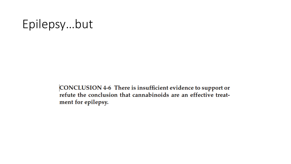#### Epilepsy…but

CONCLUSION 4-6 There is insufficient evidence to support or refute the conclusion that cannabinoids are an effective treatment for epilepsy.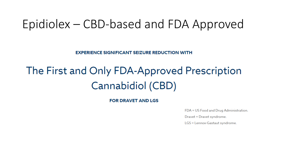#### Epidiolex – CBD-based and FDA Approved

**EXPERIENCE SIGNIFICANT SEIZURE REDUCTION WITH** 

## The First and Only FDA-Approved Prescription Cannabidiol (CBD)

**FOR DRAVET AND LGS** 

FDA = US Food and Drug Administration.

Dravet = Dravet syndrome.

LGS = Lennox-Gastaut syndrome.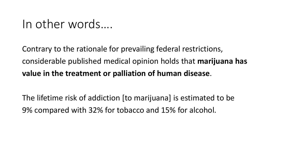#### In other words….

Contrary to the rationale for prevailing federal restrictions, considerable published medical opinion holds that **marijuana has value in the treatment or palliation of human disease**.

The lifetime risk of addiction [to marijuana] is estimated to be 9% compared with 32% for tobacco and 15% for alcohol.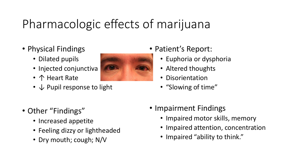## Pharmacologic effects of marijuana

- Physical Findings
	- Dilated pupils
	- Injected conjunctiva
	- ↑ Heart Rate
	- ↓ Pupil response to light



- Patient's Report:
	- Euphoria or dysphoria
	- Altered thoughts
	- Disorientation
	- "Slowing of time"

- Other "Findings"
	- Increased appetite
	- Feeling dizzy or lightheaded
	- Dry mouth; cough; N/V
- Impairment Findings
	- Impaired motor skills, memory
	- Impaired attention, concentration
	- Impaired "ability to think."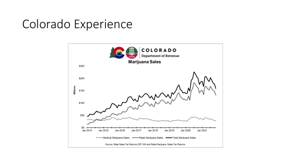#### Colorado Experience

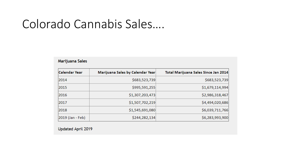#### Colorado Cannabis Sales….

| Marijuana Sales  |                                  |                                      |
|------------------|----------------------------------|--------------------------------------|
| Calendar Year    | Marijuana Sales by Calendar Year | Total Marijuana Sales Since Jan 2014 |
| 2014             | \$683,523,739                    | \$683,523,739                        |
| 2015             | \$995,591,255                    | \$1,679,114,994                      |
| 2016             | \$1,307,203,473                  | \$2,986,318,467                      |
| 2017             | \$1,507,702,219                  | \$4,494,020,686                      |
| 2018             | \$1,545,691,080                  | \$6,039,711,766                      |
| 2019 (Jan - Feb) | \$244,282,134                    | \$6,283,993,900                      |

Updated April 2019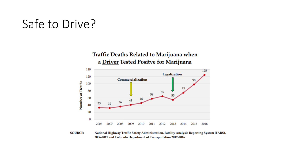#### Safe to Drive?





**SOURCE:** National Highway Traffic Safety Administration, Fatality Analysis Reporting System (FARS), 2006-2011 and Colorado Department of Transportation 2012-2016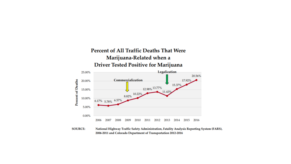

**SOURCE:** National Highway Traffic Safety Administration, Fatality Analysis Reporting System (FARS), 2006-2011 and Colorado Department of Transportation 2012-2016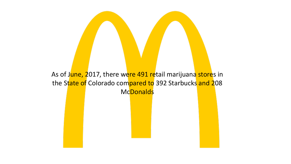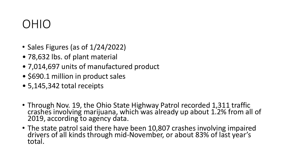#### OHIO

- Sales Figures (as of 1/24/2022)
- 78,632 lbs. of plant material
- 7,014,697 units of manufactured product
- \$690.1 million in product sales
- 5,145,342 total receipts
- Through Nov. 19, the Ohio State Highway Patrol recorded 1,311 traffic crashes involving marijuana, which was already up about 1.2% from all of 2019, according to agency data.
- The state patrol said there have been 10,807 crashes involving impaired drivers of all kinds through mid-November, or about 83% of last year's<br>total.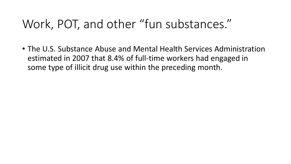#### Work, POT, and other "fun substances."

• The U.S. Substance Abuse and Mental Health Services Administration estimated in 2007 that 8.4% of full-time workers had engaged in some type of illicit drug use within the preceding month.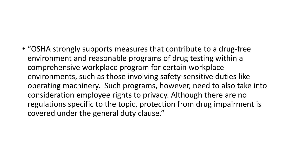#### • "OSHA strongly supports measures that contribute to a drug-free environment and reasonable programs of drug testing within a comprehensive workplace program for certain workplace environments, such as those involving safety-sensitive duties like operating machinery. Such programs, however, need to also take into consideration employee rights to privacy. Although there are no regulations specific to the topic, protection from drug impairment is

covered under the general duty clause."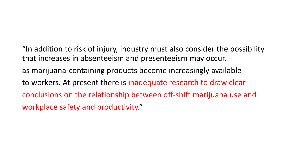"In addition to risk of injury, industry must also consider the possibility that increases in absenteeism and presenteeism may occur, as marijuana-containing products become increasingly available to workers. At present there is inadequate research to draw clear conclusions on the relationship between off-shift marijuana use and workplace safety and productivity."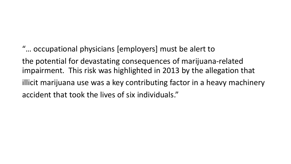#### "… occupational physicians [employers] must be alert to

the potential for devastating consequences of marijuana-related impairment. This risk was highlighted in 2013 by the allegation that illicit marijuana use was a key contributing factor in a heavy machinery accident that took the lives of six individuals."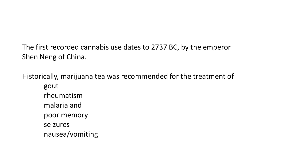The first recorded cannabis use dates to 2737 BC, by the emperor Shen Neng of China.

Historically, marijuana tea was recommended for the treatment of gout rheumatism malaria and poor memory seizures nausea/vomiting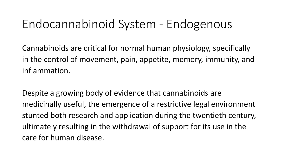#### Endocannabinoid System - Endogenous

Cannabinoids are critical for normal human physiology, specifically in the control of movement, pain, appetite, memory, immunity, and inflammation.

Despite a growing body of evidence that cannabinoids are medicinally useful, the emergence of a restrictive legal environment stunted both research and application during the twentieth century, ultimately resulting in the withdrawal of support for its use in the care for human disease.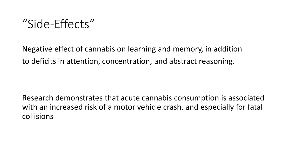#### "Side-Effects"

Negative effect of cannabis on learning and memory, in addition to deficits in attention, concentration, and abstract reasoning.

Research demonstrates that acute cannabis consumption is associated with an increased risk of a motor vehicle crash, and especially for fatal collisions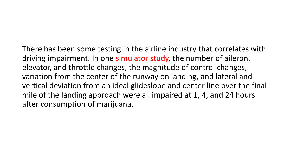There has been some testing in the airline industry that correlates with driving impairment. In one simulator study, the number of aileron, elevator, and throttle changes, the magnitude of control changes, variation from the center of the runway on landing, and lateral and vertical deviation from an ideal glideslope and center line over the final mile of the landing approach were all impaired at 1, 4, and 24 hours after consumption of marijuana.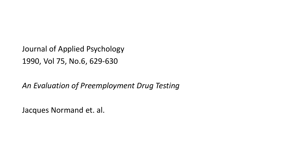Journal of Applied Psychology 1990, Vol 75, No.6, 629-630

*An Evaluation of Preemployment Drug Testing*

Jacques Normand et. al.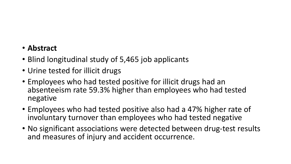#### • **Abstract**

- Blind longitudinal study of 5,465 job applicants
- Urine tested for illicit drugs
- Employees who had tested positive for illicit drugs had an absenteeism rate 59.3% higher than employees who had tested negative
- Employees who had tested positive also had a 47% higher rate of involuntary turnover than employees who had tested negative
- No significant associations were detected between drug-test results and measures of injury and accident occurrence.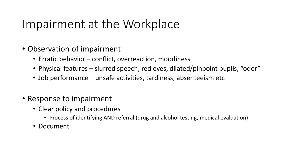#### Impairment at the Workplace

- Observation of impairment
	- Erratic behavior conflict, overreaction, moodiness
	- Physical features slurred speech, red eyes, dilated/pinpoint pupils, "odor"
	- Job performance unsafe activities, tardiness, absenteeism etc
- Response to impairment
	- Clear policy and procedures
		- Process of identifying AND referral (drug and alcohol testing, medical evaluation)
	- Document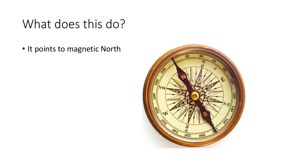## What does this do?

• It points to magnetic North

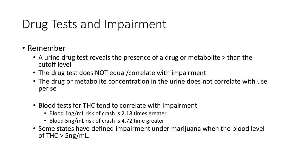## Drug Tests and Impairment

- Remember
	- A urine drug test reveals the presence of a drug or metabolite > than the cutoff level
	- The drug test does NOT equal/correlate with impairment
	- The drug or metabolite concentration in the urine does not correlate with use per se
	- Blood tests for THC tend to correlate with impairment
		- Blood 1ng/mL risk of crash is 2.18 times greater
		- Blood 5ng/mL risk of crash is 4.72 time greater
	- Some states have defined impairment under marijuana when the blood level of THC  $>$  5ng/mL.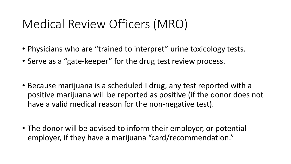## Medical Review Officers (MRO)

- Physicians who are "trained to interpret" urine toxicology tests.
- Serve as a "gate-keeper" for the drug test review process.
- Because marijuana is a scheduled I drug, any test reported with a positive marijuana will be reported as positive (if the donor does not have a valid medical reason for the non-negative test).
- The donor will be advised to inform their employer, or potential employer, if they have a marijuana "card/recommendation."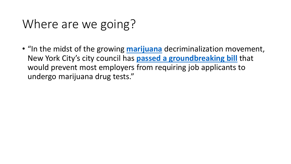## Where are we going?

• "In the midst of the growing **[marijuana](https://www.rollingstone.com/t/marijuana/)** decriminalization movement, New York City's city council has **[passed a groundbreaking bill](https://www.nytimes.com/2019/04/11/nyregion/marijuana-drug-testing-nyc.html)** that would prevent most employers from requiring job applicants to undergo marijuana drug tests."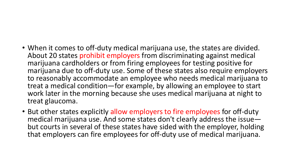#### • When it comes to off-duty medical marijuana use, the states are divided. About 20 states prohibit employers from discriminating against medical marijuana cardholders or from firing employees for testing positive for marijuana due to off-duty use. Some of these states also require employers to reasonably accommodate an employee who needs medical marijuana to treat a medical condition—for example, by allowing an employee to start work later in the morning because she uses medical marijuana at night to treat glaucoma.

• But other states explicitly allow employers to fire employees for off-duty<br>– medical marijuana use. And some states don't clearly address the issue but courts in several of these states have sided with the employer, holding that employers can fire employees for off-duty use of medical marijuana.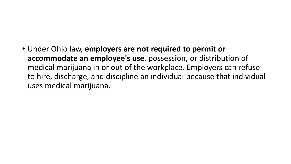• Under Ohio law, **employers are not required to permit or accommodate an employee's use**, possession, or distribution of medical marijuana in or out of the workplace. Employers can refuse to hire, discharge, and discipline an individual because that individual uses medical marijuana.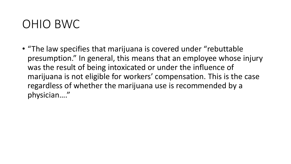#### OHIO BWC

• "The law specifies that marijuana is covered under "rebuttable presumption." In general, this means that an employee whose injury was the result of being intoxicated or under the influence of marijuana is not eligible for workers' compensation. This is the case regardless of whether the marijuana use is recommended by a physician…."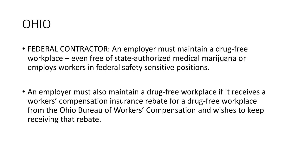#### OHIO

- FEDERAL CONTRACTOR: An employer must maintain a drug-free workplace – even free of state-authorized medical marijuana or employs workers in federal safety sensitive positions.
- An employer must also maintain a drug-free workplace if it receives a workers' compensation insurance rebate for a drug-free workplace from the Ohio Bureau of Workers' Compensation and wishes to keep receiving that rebate.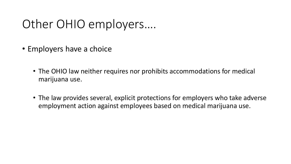## Other OHIO employers….

- Employers have a choice
	- The OHIO law neither requires nor prohibits accommodations for medical marijuana use.
	- The law provides several, explicit protections for employers who take adverse employment action against employees based on medical marijuana use.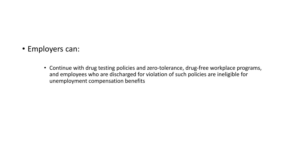- Employers can:
	- Continue with drug testing policies and zero-tolerance, drug-free workplace programs, and employees who are discharged for violation of such policies are ineligible for unemployment compensation benefits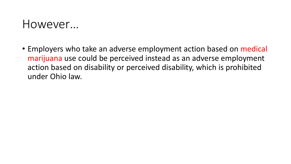#### However…

• Employers who take an adverse employment action based on medical marijuana use could be perceived instead as an adverse employment action based on disability or perceived disability, which is prohibited under Ohio law.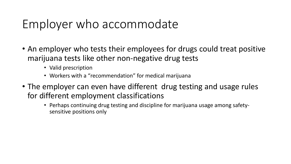#### Employer who accommodate

- An employer who tests their employees for drugs could treat positive marijuana tests like other non-negative drug tests
	- Valid prescription
	- Workers with a "recommendation" for medical marijuana
- The employer can even have different drug testing and usage rules for different employment classifications
	- Perhaps continuing drug testing and discipline for marijuana usage among safetysensitive positions only